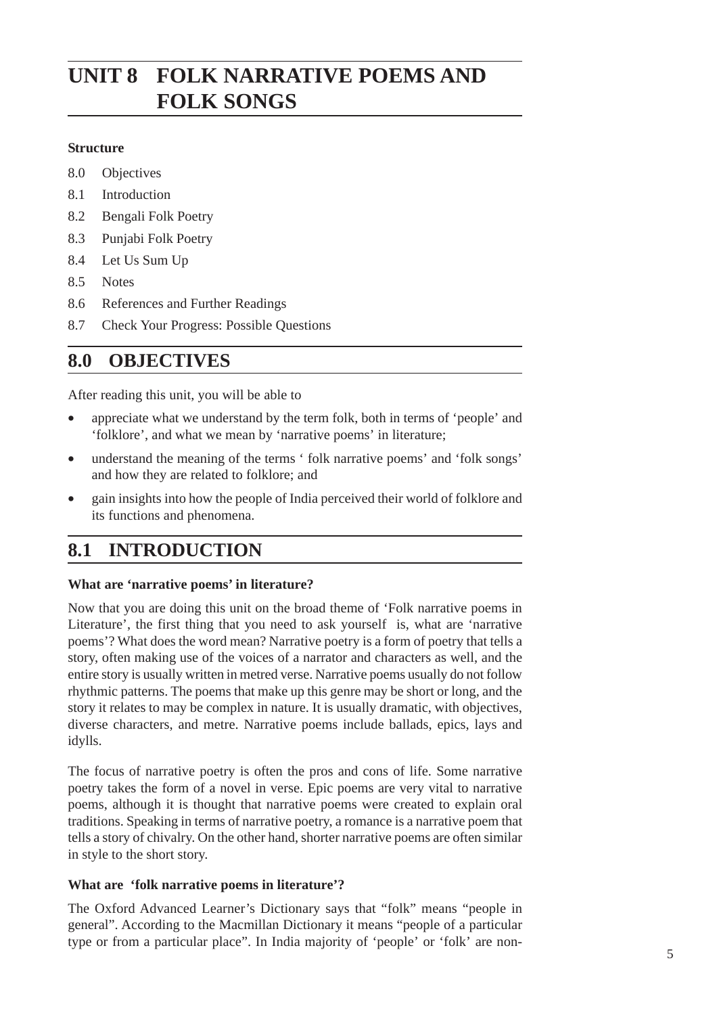# **FOLK NARRATIVE POEMS AND FOLK SONGS**

#### **Structure**

- 8.0 Objectives
- 8.1 Introduction
- 8.2 Bengali Folk Poetry
- 8.3 Punjabi Folk Poetry
- 8.4 Let Us Sum Up
- 8.5 Notes
- 8.6 References and Further Readings
- 8.7 Check Your Progress: Possible Questions

#### **8.0 OBJECTIVES**

After reading this unit, you will be able to

- appreciate what we understand by the term folk, both in terms of 'people' and 'folklore', and what we mean by 'narrative poems' in literature;
- understand the meaning of the terms ' folk narrative poems' and 'folk songs' and how they are related to folklore; and
- gain insights into how the people of India perceived their world of folklore and its functions and phenomena.

### **8.1 INTRODUCTION**

#### **What are 'narrative poems' in literature?**

Now that you are doing this unit on the broad theme of 'Folk narrative poems in Literature', the first thing that you need to ask yourself is, what are 'narrative poems'? What does the word mean? Narrative poetry is a form of poetry that tells a story, often making use of the voices of a narrator and characters as well, and the entire story is usually written in metred verse. Narrative poems usually do not follow rhythmic patterns. The poems that make up this genre may be short or long, and the story it relates to may be complex in nature. It is usually dramatic, with objectives, diverse characters, and metre. Narrative poems include ballads, epics, lays and idylls.

The focus of narrative poetry is often the pros and cons of life. Some narrative poetry takes the form of a novel in verse. Epic poems are very vital to narrative poems, although it is thought that narrative poems were created to explain oral traditions. Speaking in terms of narrative poetry, a romance is a narrative poem that tells a story of chivalry. On the other hand, shorter narrative poems are often similar in style to the short story.

#### **What are 'folk narrative poems in literature'?**

The Oxford Advanced Learner's Dictionary says that "folk" means "people in general". According to the Macmillan Dictionary it means "people of a particular type or from a particular place". In India majority of 'people' or 'folk' are non-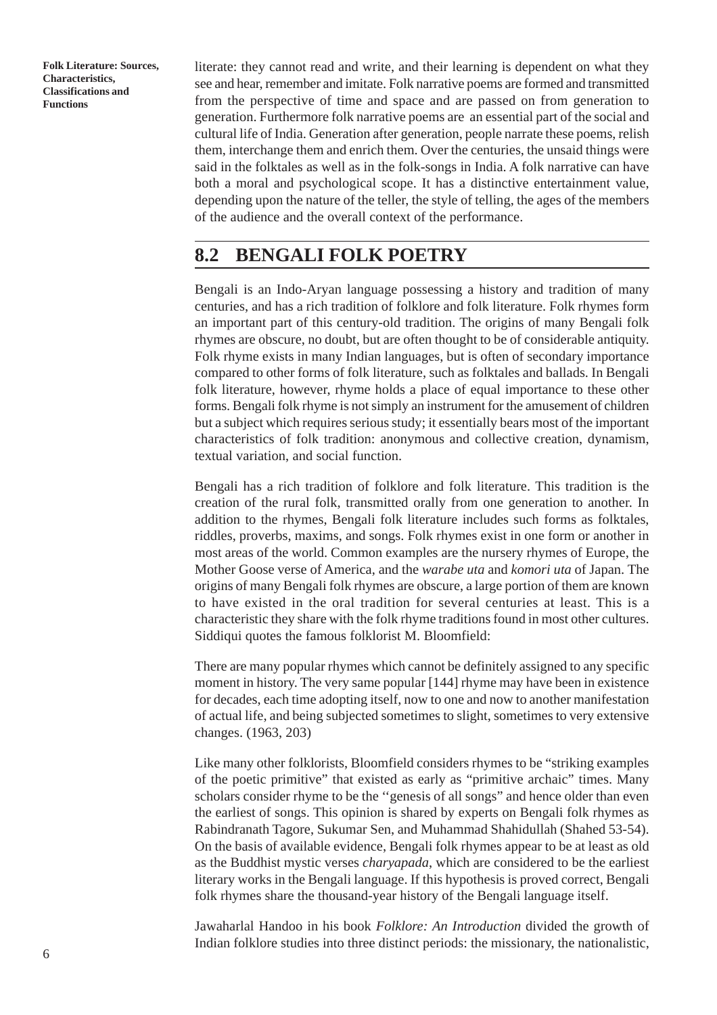literate: they cannot read and write, and their learning is dependent on what they see and hear, remember and imitate. Folk narrative poems are formed and transmitted from the perspective of time and space and are passed on from generation to generation. Furthermore folk narrative poems are an essential part of the social and cultural life of India. Generation after generation, people narrate these poems, relish them, interchange them and enrich them. Over the centuries, the unsaid things were said in the folktales as well as in the folk-songs in India. A folk narrative can have both a moral and psychological scope. It has a distinctive entertainment value, depending upon the nature of the teller, the style of telling, the ages of the members of the audience and the overall context of the performance.

### **8.2 BENGALI FOLK POETRY**

Bengali is an Indo-Aryan language possessing a history and tradition of many centuries, and has a rich tradition of folklore and folk literature. Folk rhymes form an important part of this century-old tradition. The origins of many Bengali folk rhymes are obscure, no doubt, but are often thought to be of considerable antiquity. Folk rhyme exists in many Indian languages, but is often of secondary importance compared to other forms of folk literature, such as folktales and ballads. In Bengali folk literature, however, rhyme holds a place of equal importance to these other forms. Bengali folk rhyme is not simply an instrument for the amusement of children but a subject which requires serious study; it essentially bears most of the important characteristics of folk tradition: anonymous and collective creation, dynamism, textual variation, and social function.

Bengali has a rich tradition of folklore and folk literature. This tradition is the creation of the rural folk, transmitted orally from one generation to another. In addition to the rhymes, Bengali folk literature includes such forms as folktales, riddles, proverbs, maxims, and songs. Folk rhymes exist in one form or another in most areas of the world. Common examples are the nursery rhymes of Europe, the Mother Goose verse of America, and the *warabe uta* and *komori uta* of Japan. The origins of many Bengali folk rhymes are obscure, a large portion of them are known to have existed in the oral tradition for several centuries at least. This is a characteristic they share with the folk rhyme traditions found in most other cultures. Siddiqui quotes the famous folklorist M. Bloomfield:

There are many popular rhymes which cannot be definitely assigned to any specific moment in history. The very same popular [144] rhyme may have been in existence for decades, each time adopting itself, now to one and now to another manifestation of actual life, and being subjected sometimes to slight, sometimes to very extensive changes. (1963, 203)

Like many other folklorists, Bloomfield considers rhymes to be "striking examples of the poetic primitive" that existed as early as "primitive archaic" times. Many scholars consider rhyme to be the ''genesis of all songs" and hence older than even the earliest of songs. This opinion is shared by experts on Bengali folk rhymes as Rabindranath Tagore, Sukumar Sen, and Muhammad Shahidullah (Shahed 53-54). On the basis of available evidence, Bengali folk rhymes appear to be at least as old as the Buddhist mystic verses *charyapada*, which are considered to be the earliest literary works in the Bengali language. If this hypothesis is proved correct, Bengali folk rhymes share the thousand-year history of the Bengali language itself.

Jawaharlal Handoo in his book *Folklore: An Introduction* divided the growth of Indian folklore studies into three distinct periods: the missionary, the nationalistic,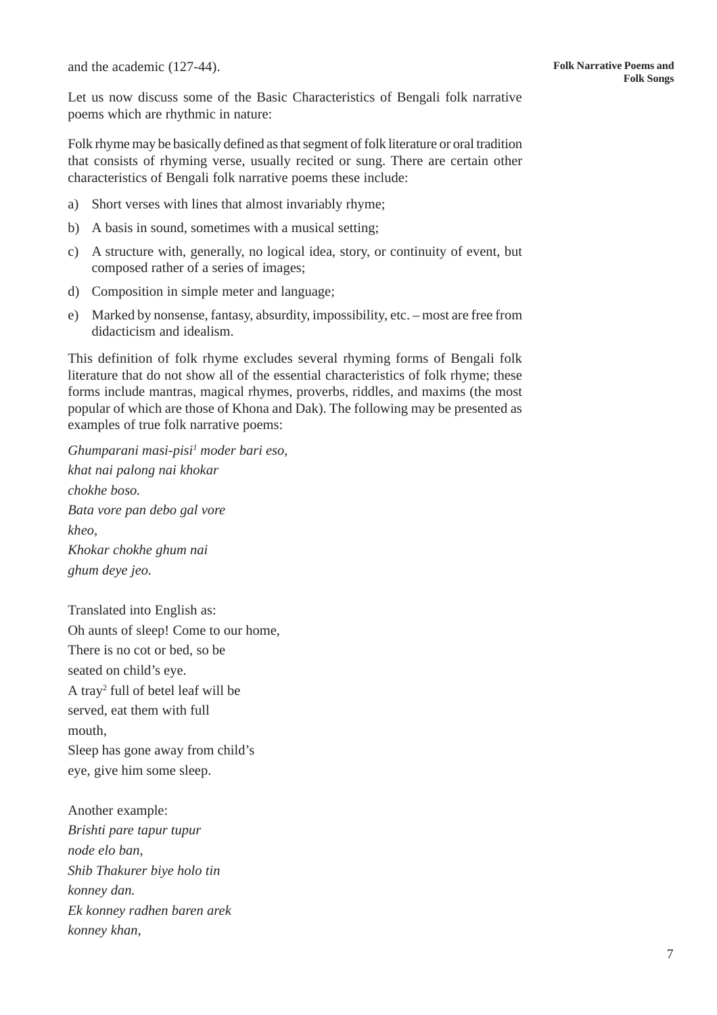and the academic (127-44).

Let us now discuss some of the Basic Characteristics of Bengali folk narrative poems which are rhythmic in nature:

Folk rhyme may be basically defined as that segment of folk literature or oral tradition that consists of rhyming verse, usually recited or sung. There are certain other characteristics of Bengali folk narrative poems these include:

- a) Short verses with lines that almost invariably rhyme;
- b) A basis in sound, sometimes with a musical setting;
- c) A structure with, generally, no logical idea, story, or continuity of event, but composed rather of a series of images;
- d) Composition in simple meter and language;
- e) Marked by nonsense, fantasy, absurdity, impossibility, etc. most are free from didacticism and idealism.

This definition of folk rhyme excludes several rhyming forms of Bengali folk literature that do not show all of the essential characteristics of folk rhyme; these forms include mantras, magical rhymes, proverbs, riddles, and maxims (the most popular of which are those of Khona and Dak). The following may be presented as examples of true folk narrative poems:

*Ghumparani masi-pisi1 moder bari eso, khat nai palong nai khokar chokhe boso. Bata vore pan debo gal vore kheo, Khokar chokhe ghum nai ghum deye jeo.*

Translated into English as: Oh aunts of sleep! Come to our home, There is no cot or bed, so be seated on child's eye. A tray2 full of betel leaf will be served, eat them with full mouth, Sleep has gone away from child's eye, give him some sleep.

Another example: *Brishti pare tapur tupur node elo ban, Shib Thakurer biye holo tin konney dan. Ek konney radhen baren arek konney khan,*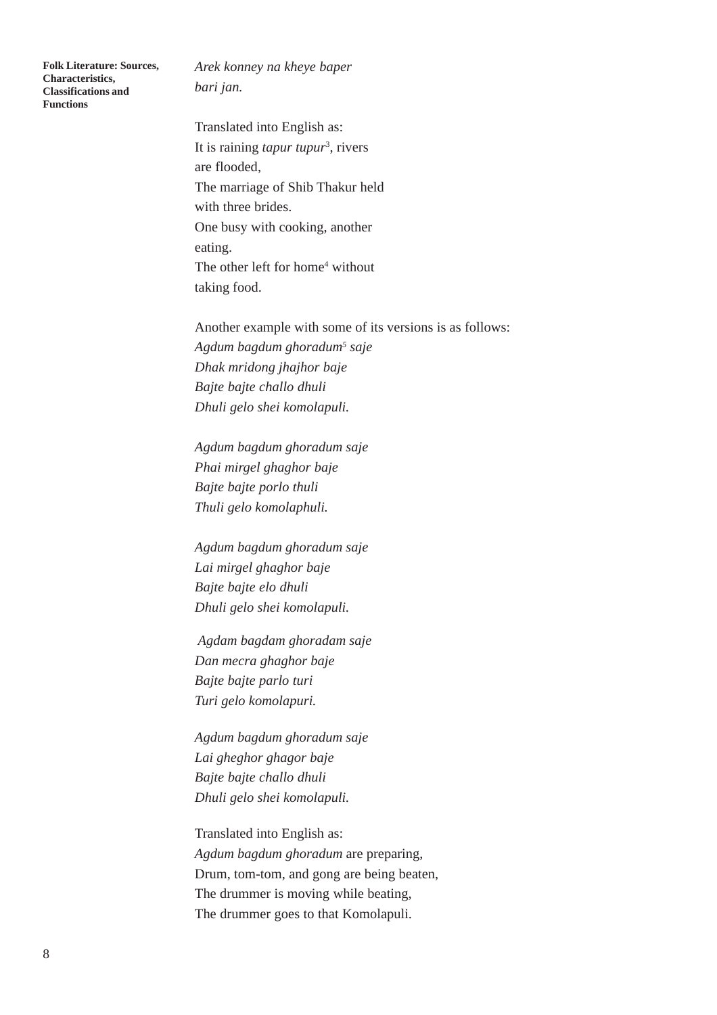*Arek konney na kheye baper bari jan.*

Translated into English as: It is raining *tapur tupur*<sup>3</sup>, rivers are flooded, The marriage of Shib Thakur held with three brides. One busy with cooking, another eating. The other left for home<sup>4</sup> without taking food.

Another example with some of its versions is as follows: *Agdum bagdum ghoradum5 saje Dhak mridong jhajhor baje Bajte bajte challo dhuli Dhuli gelo shei komolapuli.*

*Agdum bagdum ghoradum saje Phai mirgel ghaghor baje Bajte bajte porlo thuli Thuli gelo komolaphuli.*

*Agdum bagdum ghoradum saje Lai mirgel ghaghor baje Bajte bajte elo dhuli Dhuli gelo shei komolapuli.*

 *Agdam bagdam ghoradam saje Dan mecra ghaghor baje Bajte bajte parlo turi Turi gelo komolapuri.*

*Agdum bagdum ghoradum saje Lai gheghor ghagor baje Bajte bajte challo dhuli Dhuli gelo shei komolapuli.*

Translated into English as: *Agdum bagdum ghoradum* are preparing, Drum, tom-tom, and gong are being beaten, The drummer is moving while beating, The drummer goes to that Komolapuli.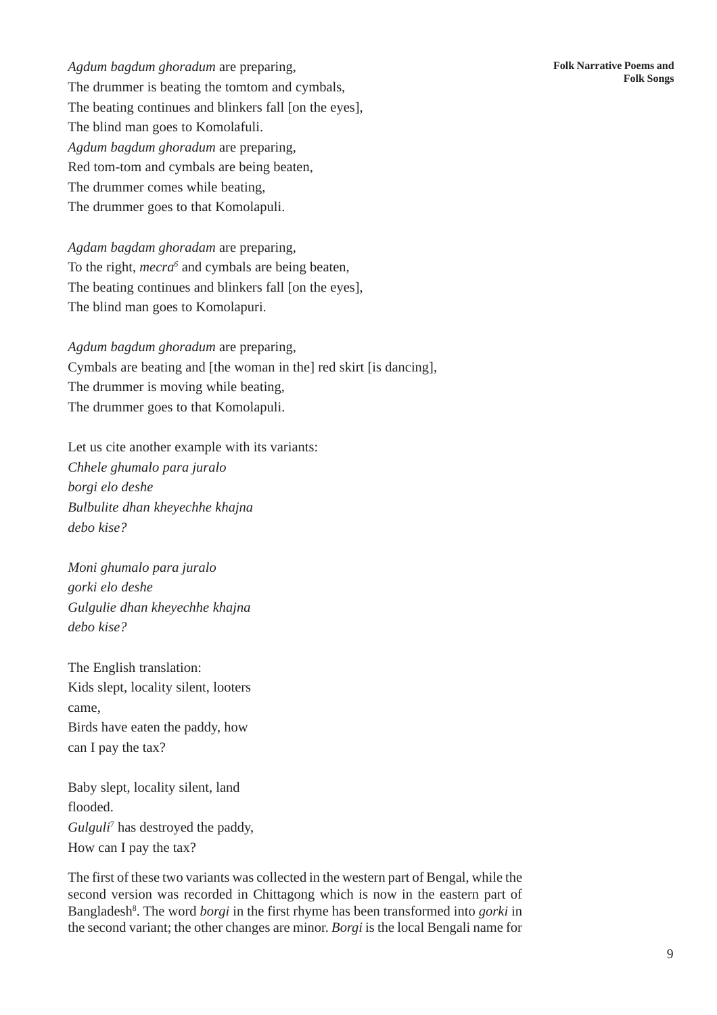*Agdum bagdum ghoradum* are preparing, The drummer is beating the tomtom and cymbals, The beating continues and blinkers fall [on the eyes], The blind man goes to Komolafuli. *Agdum bagdum ghoradum* are preparing, Red tom-tom and cymbals are being beaten, The drummer comes while beating, The drummer goes to that Komolapuli.

*Agdam bagdam ghoradam* are preparing, To the right, *mecra6* and cymbals are being beaten, The beating continues and blinkers fall [on the eyes], The blind man goes to Komolapuri.

*Agdum bagdum ghoradum* are preparing, Cymbals are beating and [the woman in the] red skirt [is dancing], The drummer is moving while beating, The drummer goes to that Komolapuli.

Let us cite another example with its variants: *Chhele ghumalo para juralo borgi elo deshe Bulbulite dhan kheyechhe khajna debo kise?*

*Moni ghumalo para juralo gorki elo deshe Gulgulie dhan kheyechhe khajna debo kise?*

The English translation: Kids slept, locality silent, looters came, Birds have eaten the paddy, how can I pay the tax?

Baby slept, locality silent, land flooded. *Gulguli*<sup>7</sup> has destroyed the paddy, How can I pay the tax?

The first of these two variants was collected in the western part of Bengal, while the second version was recorded in Chittagong which is now in the eastern part of Bangladesh<sup>8</sup>. The word *borgi* in the first rhyme has been transformed into *gorki* in the second variant; the other changes are minor. *Borgi* is the local Bengali name for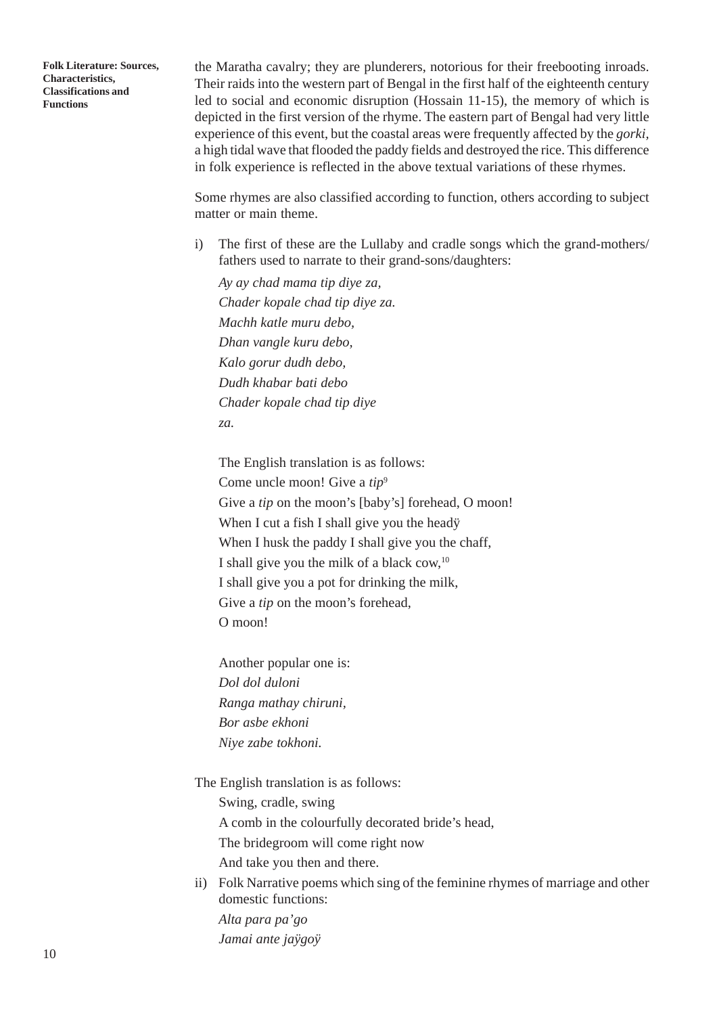the Maratha cavalry; they are plunderers, notorious for their freebooting inroads. Their raids into the western part of Bengal in the first half of the eighteenth century led to social and economic disruption (Hossain 11-15), the memory of which is depicted in the first version of the rhyme. The eastern part of Bengal had very little experience of this event, but the coastal areas were frequently affected by the *gorki,* a high tidal wave that flooded the paddy fields and destroyed the rice. This difference in folk experience is reflected in the above textual variations of these rhymes.

Some rhymes are also classified according to function, others according to subject matter or main theme.

i) The first of these are the Lullaby and cradle songs which the grand-mothers/ fathers used to narrate to their grand-sons/daughters:

*Ay ay chad mama tip diye za, Chader kopale chad tip diye za. Machh katle muru debo, Dhan vangle kuru debo, Kalo gorur dudh debo, Dudh khabar bati debo Chader kopale chad tip diye za.*

The English translation is as follows: Come uncle moon! Give a *tip*<sup>9</sup> Give a *tip* on the moon's [baby's] forehead, O moon! When I cut a fish I shall give you the heady When I husk the paddy I shall give you the chaff, I shall give you the milk of a black cow,  $10$ I shall give you a pot for drinking the milk, Give a *tip* on the moon's forehead, O moon!

Another popular one is: *Dol dol duloni Ranga mathay chiruni, Bor asbe ekhoni Niye zabe tokhoni.*

The English translation is as follows:

Swing, cradle, swing

A comb in the colourfully decorated bride's head,

The bridegroom will come right now

And take you then and there.

ii) Folk Narrative poems which sing of the feminine rhymes of marriage and other domestic functions: *Alta para pa'go Jamai ante jaÿgoÿ*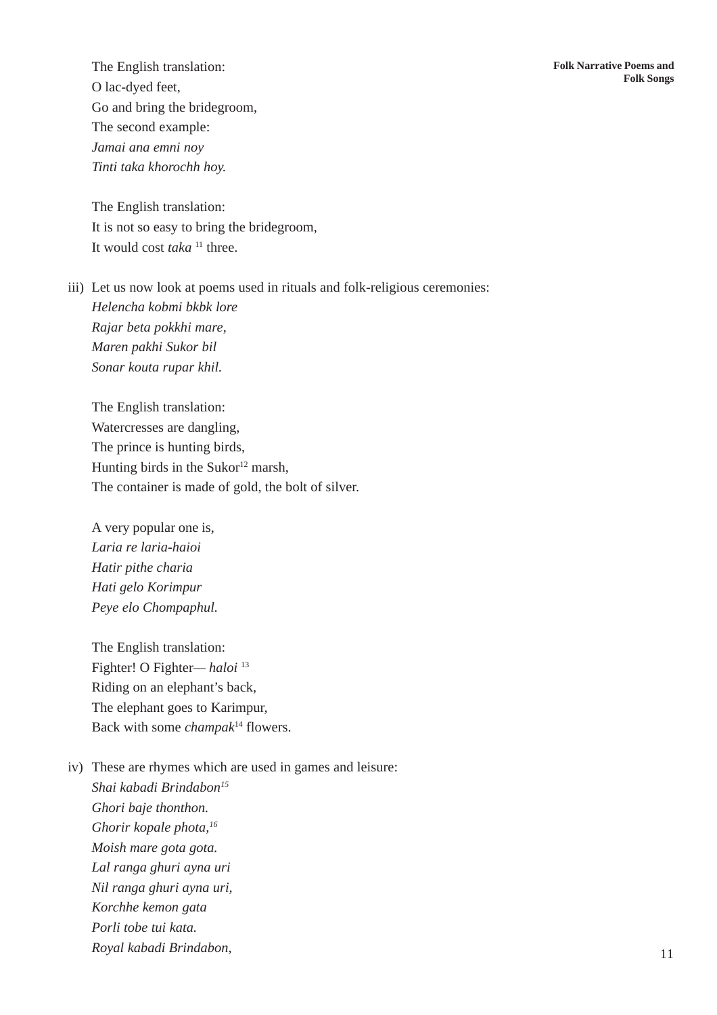The English translation: O lac-dyed feet, Go and bring the bridegroom, The second example: *Jamai ana emni noy Tinti taka khorochh hoy.*

The English translation: It is not so easy to bring the bridegroom, It would cost *taka* 11 three.

iii) Let us now look at poems used in rituals and folk-religious ceremonies: *Helencha kobmi bkbk lore Rajar beta pokkhi mare, Maren pakhi Sukor bil Sonar kouta rupar khil.*

The English translation: Watercresses are dangling, The prince is hunting birds, Hunting birds in the Sukor $12$  marsh, The container is made of gold, the bolt of silver.

A very popular one is, *Laria re laria-haioi Hatir pithe charia Hati gelo Korimpur Peye elo Chompaphul.*

The English translation: Fighter! O Fighter*— haloi* <sup>13</sup> Riding on an elephant's back, The elephant goes to Karimpur, Back with some *champak*<sup>14</sup> flowers.

iv) These are rhymes which are used in games and leisure: *Shai kabadi Brindabon15 Ghori baje thonthon. Ghorir kopale phota,16 Moish mare gota gota. Lal ranga ghuri ayna uri Nil ranga ghuri ayna uri, Korchhe kemon gata Porli tobe tui kata. Royal kabadi Brindabon,*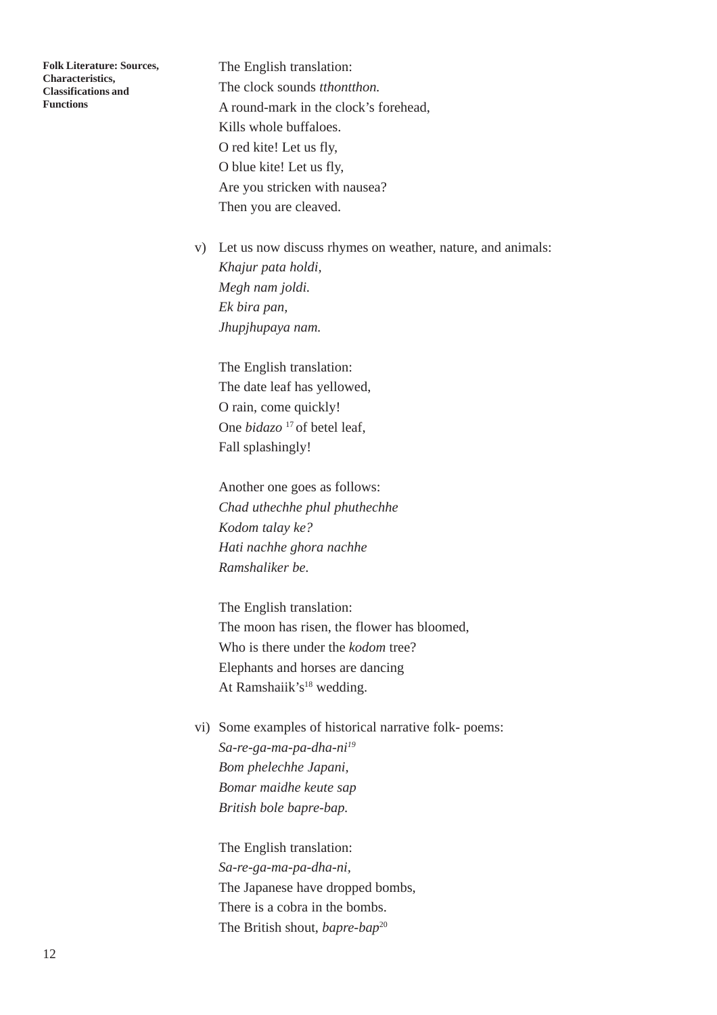The English translation: The clock sounds *tthontthon.* A round-mark in the clock's forehead, Kills whole buffaloes. O red kite! Let us fly, O blue kite! Let us fly, Are you stricken with nausea? Then you are cleaved.

v) Let us now discuss rhymes on weather, nature, and animals: *Khajur pata holdi, Megh nam joldi. Ek bira pan, Jhupjhupaya nam.*

The English translation: The date leaf has yellowed, O rain, come quickly! One *bidazo*<sup>17</sup> of betel leaf, Fall splashingly!

Another one goes as follows: *Chad uthechhe phul phuthechhe Kodom talay ke? Hati nachhe ghora nachhe Ramshaliker be.*

The English translation: The moon has risen, the flower has bloomed, Who is there under the *kodom* tree? Elephants and horses are dancing At Ramshaiik's<sup>18</sup> wedding.

vi) Some examples of historical narrative folk- poems: *Sa-re-ga-ma-pa-dha-ni19 Bom phelechhe Japani, Bomar maidhe keute sap British bole bapre-bap.*

The English translation: *Sa-re-ga-ma-pa-dha-ni,* The Japanese have dropped bombs, There is a cobra in the bombs. The British shout, *bapre-bap*20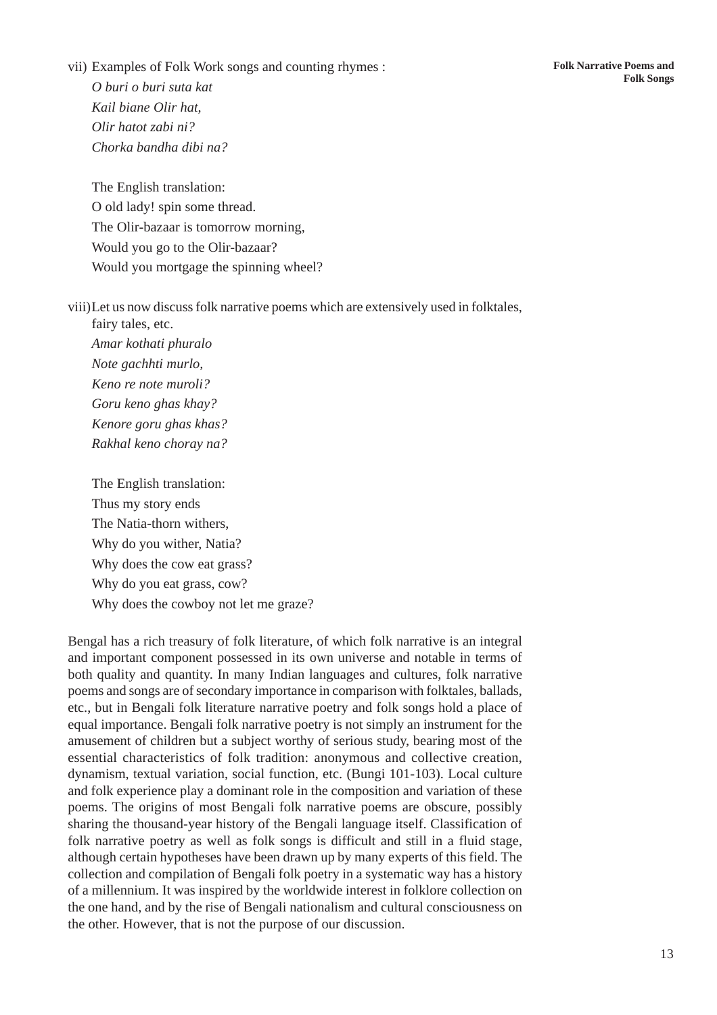vii) Examples of Folk Work songs and counting rhymes : *O buri o buri suta kat Kail biane Olir hat,*

*Olir hatot zabi ni? Chorka bandha dibi na?*

The English translation: O old lady! spin some thread. The Olir-bazaar is tomorrow morning, Would you go to the Olir-bazaar? Would you mortgage the spinning wheel?

viii)Let us now discuss folk narrative poems which are extensively used in folktales, fairy tales, etc.

*Amar kothati phuralo Note gachhti murlo, Keno re note muroli? Goru keno ghas khay? Kenore goru ghas khas? Rakhal keno choray na?*

The English translation: Thus my story ends The Natia-thorn withers, Why do you wither, Natia? Why does the cow eat grass? Why do you eat grass, cow? Why does the cowboy not let me graze?

Bengal has a rich treasury of folk literature, of which folk narrative is an integral and important component possessed in its own universe and notable in terms of both quality and quantity. In many Indian languages and cultures, folk narrative poems and songs are of secondary importance in comparison with folktales, ballads, etc., but in Bengali folk literature narrative poetry and folk songs hold a place of equal importance. Bengali folk narrative poetry is not simply an instrument for the amusement of children but a subject worthy of serious study, bearing most of the essential characteristics of folk tradition: anonymous and collective creation, dynamism, textual variation, social function, etc. (Bungi 101-103). Local culture and folk experience play a dominant role in the composition and variation of these poems. The origins of most Bengali folk narrative poems are obscure, possibly sharing the thousand-year history of the Bengali language itself. Classification of folk narrative poetry as well as folk songs is difficult and still in a fluid stage, although certain hypotheses have been drawn up by many experts of this field. The collection and compilation of Bengali folk poetry in a systematic way has a history of a millennium. It was inspired by the worldwide interest in folklore collection on the one hand, and by the rise of Bengali nationalism and cultural consciousness on the other. However, that is not the purpose of our discussion.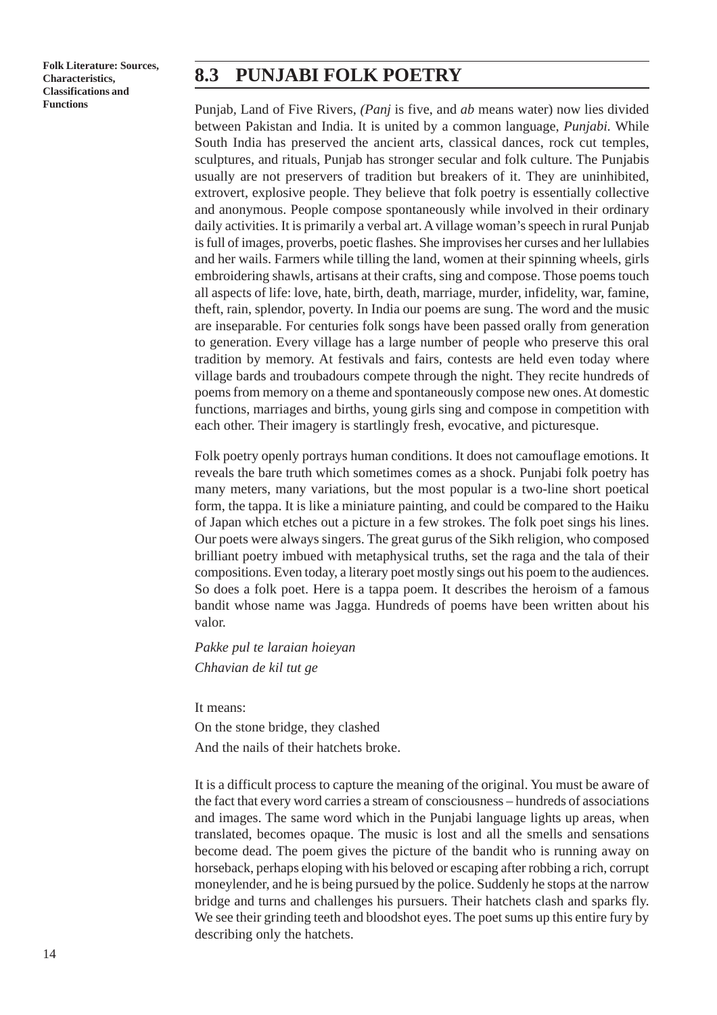#### **8.3 PUNJABI FOLK POETRY**

Punjab*,* Land of Five Rivers, *(Panj* is five, and *ab* means water) now lies divided between Pakistan and India. It is united by a common language, *Punjabi.* While South India has preserved the ancient arts, classical dances, rock cut temples, sculptures, and rituals, Punjab has stronger secular and folk culture. The Punjabis usually are not preservers of tradition but breakers of it. They are uninhibited, extrovert, explosive people. They believe that folk poetry is essentially collective and anonymous. People compose spontaneously while involved in their ordinary daily activities. It is primarily a verbal art. A village woman's speech in rural Punjab is full of images, proverbs, poetic flashes. She improvises her curses and her lullabies and her wails. Farmers while tilling the land, women at their spinning wheels, girls embroidering shawls, artisans at their crafts, sing and compose. Those poems touch all aspects of life: love, hate, birth, death, marriage, murder, infidelity, war, famine, theft, rain, splendor, poverty. In India our poems are sung. The word and the music are inseparable. For centuries folk songs have been passed orally from generation to generation. Every village has a large number of people who preserve this oral tradition by memory. At festivals and fairs, contests are held even today where village bards and troubadours compete through the night. They recite hundreds of poems from memory on a theme and spontaneously compose new ones. At domestic functions, marriages and births, young girls sing and compose in competition with each other. Their imagery is startlingly fresh, evocative, and picturesque.

Folk poetry openly portrays human conditions. It does not camouflage emotions. It reveals the bare truth which sometimes comes as a shock. Punjabi folk poetry has many meters, many variations, but the most popular is a two-line short poetical form, the tappa. It is like a miniature painting, and could be compared to the Haiku of Japan which etches out a picture in a few strokes. The folk poet sings his lines. Our poets were always singers. The great gurus of the Sikh religion, who composed brilliant poetry imbued with metaphysical truths, set the raga and the tala of their compositions. Even today, a literary poet mostly sings out his poem to the audiences. So does a folk poet. Here is a tappa poem. It describes the heroism of a famous bandit whose name was Jagga. Hundreds of poems have been written about his valor.

*Pakke pul te laraian hoieyan Chhavian de kil tut ge*

It means:

On the stone bridge, they clashed And the nails of their hatchets broke.

It is a difficult process to capture the meaning of the original. You must be aware of the fact that every word carries a stream of consciousness – hundreds of associations and images. The same word which in the Punjabi language lights up areas, when translated, becomes opaque. The music is lost and all the smells and sensations become dead. The poem gives the picture of the bandit who is running away on horseback, perhaps eloping with his beloved or escaping after robbing a rich, corrupt moneylender, and he is being pursued by the police. Suddenly he stops at the narrow bridge and turns and challenges his pursuers. Their hatchets clash and sparks fly. We see their grinding teeth and bloodshot eyes. The poet sums up this entire fury by describing only the hatchets.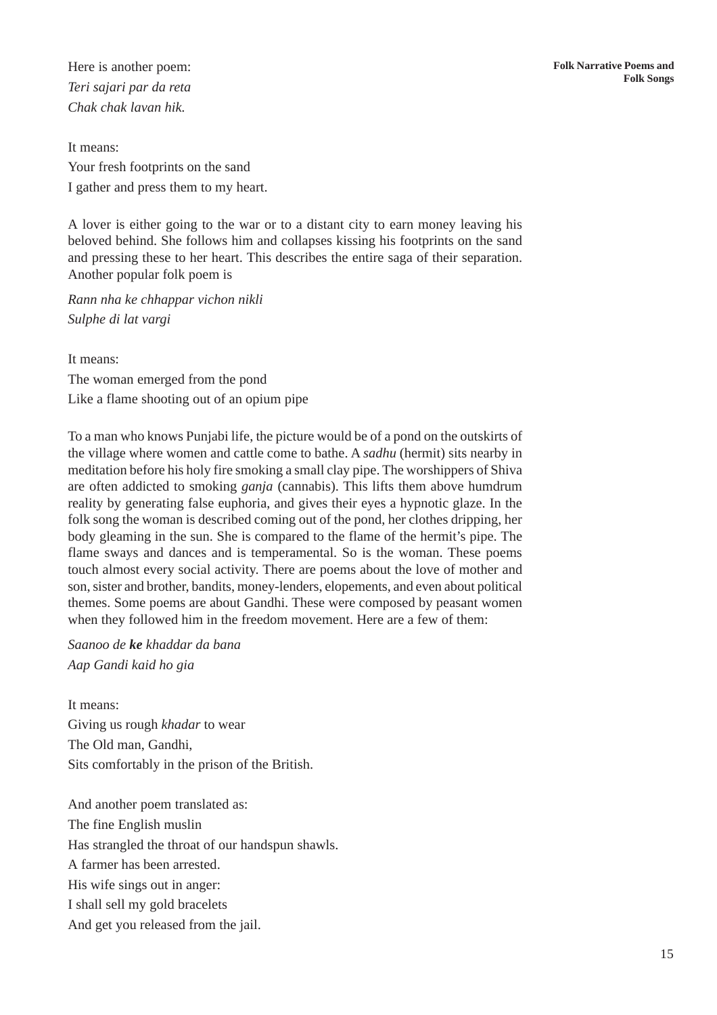Here is another poem: *Teri sajari par da reta Chak chak lavan hik.*

It means: Your fresh footprints on the sand I gather and press them to my heart.

A lover is either going to the war or to a distant city to earn money leaving his beloved behind. She follows him and collapses kissing his footprints on the sand and pressing these to her heart. This describes the entire saga of their separation. Another popular folk poem is

*Rann nha ke chhappar vichon nikli Sulphe di lat vargi*

It means:

The woman emerged from the pond Like a flame shooting out of an opium pipe

To a man who knows Punjabi life, the picture would be of a pond on the outskirts of the village where women and cattle come to bathe. A *sadhu* (hermit) sits nearby in meditation before his holy fire smoking a small clay pipe. The worshippers of Shiva are often addicted to smoking *ganja* (cannabis). This lifts them above humdrum reality by generating false euphoria, and gives their eyes a hypnotic glaze. In the folk song the woman is described coming out of the pond, her clothes dripping, her body gleaming in the sun. She is compared to the flame of the hermit's pipe. The flame sways and dances and is temperamental. So is the woman. These poems touch almost every social activity. There are poems about the love of mother and son, sister and brother, bandits, money-lenders, elopements, and even about political themes. Some poems are about Gandhi. These were composed by peasant women when they followed him in the freedom movement. Here are a few of them:

*Saanoo de ke khaddar da bana Aap Gandi kaid ho gia*

It means: Giving us rough *khadar* to wear The Old man, Gandhi, Sits comfortably in the prison of the British.

And another poem translated as: The fine English muslin Has strangled the throat of our handspun shawls. A farmer has been arrested. His wife sings out in anger: I shall sell my gold bracelets And get you released from the jail.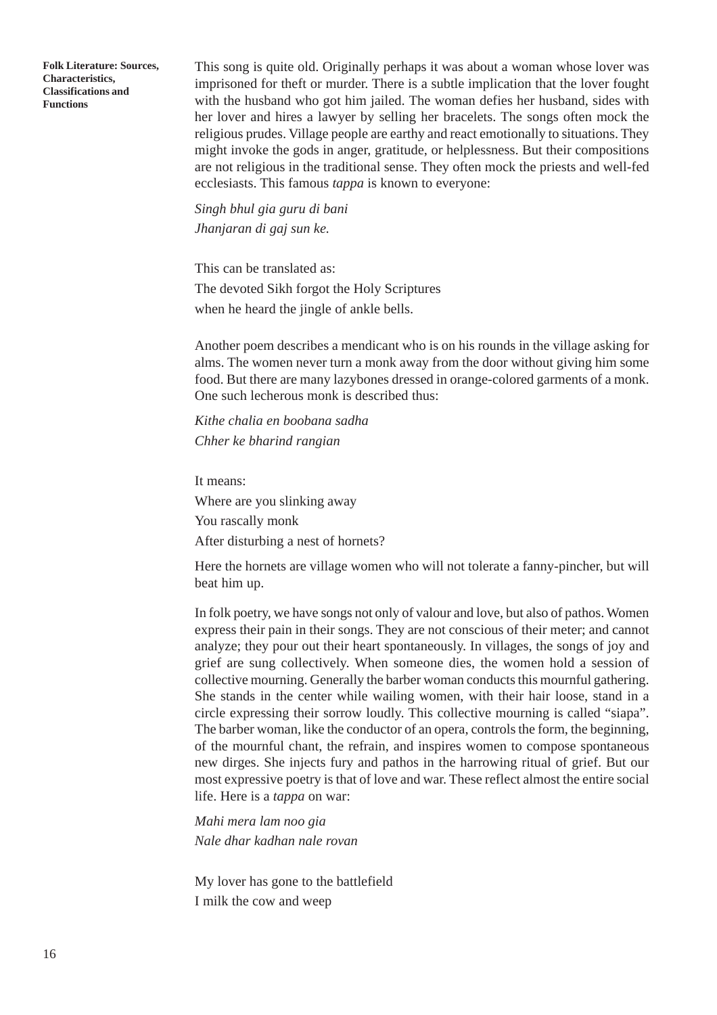This song is quite old. Originally perhaps it was about a woman whose lover was imprisoned for theft or murder. There is a subtle implication that the lover fought with the husband who got him jailed. The woman defies her husband, sides with her lover and hires a lawyer by selling her bracelets. The songs often mock the religious prudes. Village people are earthy and react emotionally to situations. They might invoke the gods in anger, gratitude, or helplessness. But their compositions are not religious in the traditional sense. They often mock the priests and well-fed ecclesiasts. This famous *tappa* is known to everyone:

*Singh bhul gia guru di bani Jhanjaran di gaj sun ke.*

This can be translated as: The devoted Sikh forgot the Holy Scriptures when he heard the jingle of ankle bells.

Another poem describes a mendicant who is on his rounds in the village asking for alms. The women never turn a monk away from the door without giving him some food. But there are many lazybones dressed in orange-colored garments of a monk. One such lecherous monk is described thus:

*Kithe chalia en boobana sadha Chher ke bharind rangian*

It means:

Where are you slinking away

You rascally monk

After disturbing a nest of hornets?

Here the hornets are village women who will not tolerate a fanny-pincher, but will beat him up.

In folk poetry, we have songs not only of valour and love, but also of pathos. Women express their pain in their songs. They are not conscious of their meter; and cannot analyze; they pour out their heart spontaneously. In villages, the songs of joy and grief are sung collectively. When someone dies, the women hold a session of collective mourning. Generally the barber woman conducts this mournful gathering. She stands in the center while wailing women, with their hair loose, stand in a circle expressing their sorrow loudly. This collective mourning is called "siapa". The barber woman, like the conductor of an opera, controls the form, the beginning, of the mournful chant, the refrain, and inspires women to compose spontaneous new dirges. She injects fury and pathos in the harrowing ritual of grief. But our most expressive poetry is that of love and war. These reflect almost the entire social life. Here is a *tappa* on war:

*Mahi mera lam noo gia Nale dhar kadhan nale rovan*

My lover has gone to the battlefield I milk the cow and weep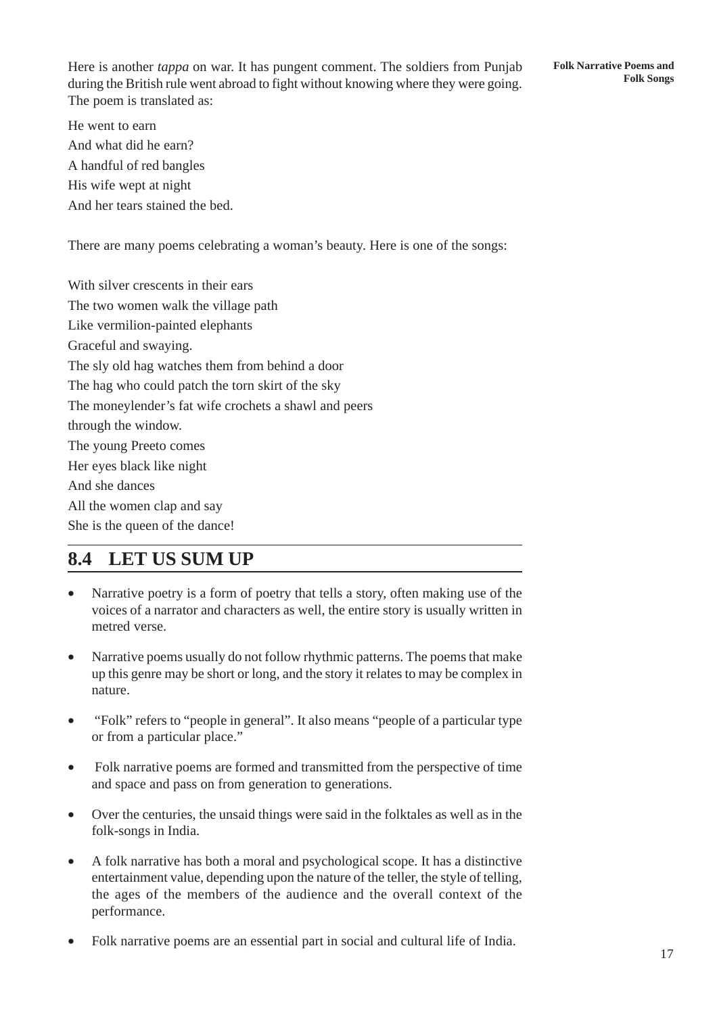Here is another *tappa* on war. It has pungent comment. The soldiers from Punjab during the British rule went abroad to fight without knowing where they were going. The poem is translated as:

**Folk Narrative Poems and Folk Songs**

He went to earn And what did he earn? A handful of red bangles His wife wept at night And her tears stained the bed.

There are many poems celebrating a woman's beauty. Here is one of the songs:

With silver crescents in their ears The two women walk the village path Like vermilion-painted elephants Graceful and swaying. The sly old hag watches them from behind a door The hag who could patch the torn skirt of the sky The moneylender's fat wife crochets a shawl and peers through the window. The young Preeto comes Her eyes black like night And she dances All the women clap and say She is the queen of the dance!

### **8.4 LET US SUM UP**

- Narrative poetry is a form of poetry that tells a story, often making use of the voices of a narrator and characters as well, the entire story is usually written in metred verse.
- Narrative poems usually do not follow rhythmic patterns. The poems that make up this genre may be short or long, and the story it relates to may be complex in nature.
- "Folk" refers to "people in general". It also means "people of a particular type or from a particular place."
- Folk narrative poems are formed and transmitted from the perspective of time and space and pass on from generation to generations.
- Over the centuries, the unsaid things were said in the folktales as well as in the folk-songs in India.
- A folk narrative has both a moral and psychological scope. It has a distinctive entertainment value, depending upon the nature of the teller, the style of telling, the ages of the members of the audience and the overall context of the performance.
- Folk narrative poems are an essential part in social and cultural life of India.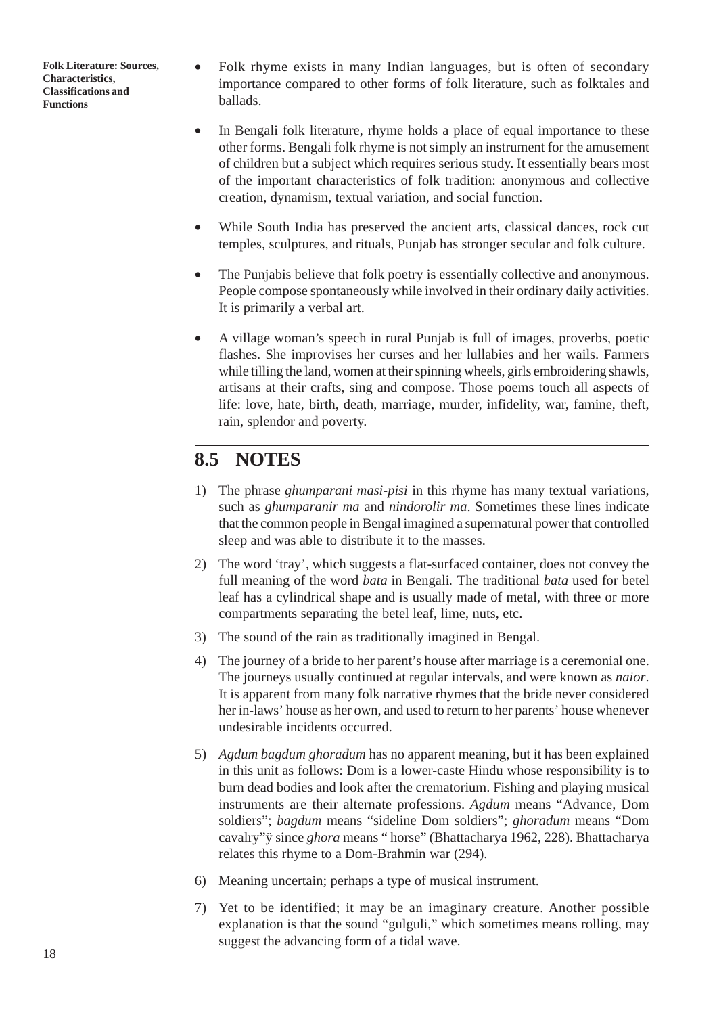- Folk rhyme exists in many Indian languages, but is often of secondary importance compared to other forms of folk literature, such as folktales and ballads.
- In Bengali folk literature, rhyme holds a place of equal importance to these other forms. Bengali folk rhyme is not simply an instrument for the amusement of children but a subject which requires serious study. It essentially bears most of the important characteristics of folk tradition: anonymous and collective creation, dynamism, textual variation, and social function.
- While South India has preserved the ancient arts, classical dances, rock cut temples, sculptures, and rituals, Punjab has stronger secular and folk culture.
- The Punjabis believe that folk poetry is essentially collective and anonymous. People compose spontaneously while involved in their ordinary daily activities. It is primarily a verbal art.
- A village woman's speech in rural Punjab is full of images, proverbs, poetic flashes. She improvises her curses and her lullabies and her wails. Farmers while tilling the land, women at their spinning wheels, girls embroidering shawls, artisans at their crafts, sing and compose. Those poems touch all aspects of life: love, hate, birth, death, marriage, murder, infidelity, war, famine, theft, rain, splendor and poverty.

#### **8.5 NOTES**

- 1) The phrase *ghumparani masi-pisi* in this rhyme has many textual variations, such as *ghumparanir ma* and *nindorolir ma*. Sometimes these lines indicate that the common people in Bengal imagined a supernatural power that controlled sleep and was able to distribute it to the masses.
- 2) The word 'tray', which suggests a flat-surfaced container, does not convey the full meaning of the word *bata* in Bengali*.* The traditional *bata* used for betel leaf has a cylindrical shape and is usually made of metal, with three or more compartments separating the betel leaf, lime, nuts, etc.
- 3) The sound of the rain as traditionally imagined in Bengal.
- 4) The journey of a bride to her parent's house after marriage is a ceremonial one. The journeys usually continued at regular intervals, and were known as *naior*. It is apparent from many folk narrative rhymes that the bride never considered her in-laws' house as her own, and used to return to her parents' house whenever undesirable incidents occurred.
- 5) *Agdum bagdum ghoradum* has no apparent meaning, but it has been explained in this unit as follows: Dom is a lower-caste Hindu whose responsibility is to burn dead bodies and look after the crematorium. Fishing and playing musical instruments are their alternate professions. *Agdum* means "Advance, Dom soldiers"; *bagdum* means "sideline Dom soldiers"; *ghoradum* means "Dom cavalry"ÿ since *ghora* means " horse" (Bhattacharya 1962, 228). Bhattacharya relates this rhyme to a Dom-Brahmin war (294).
- 6) Meaning uncertain; perhaps a type of musical instrument.
- 7) Yet to be identified; it may be an imaginary creature. Another possible explanation is that the sound "gulguli," which sometimes means rolling, may suggest the advancing form of a tidal wave.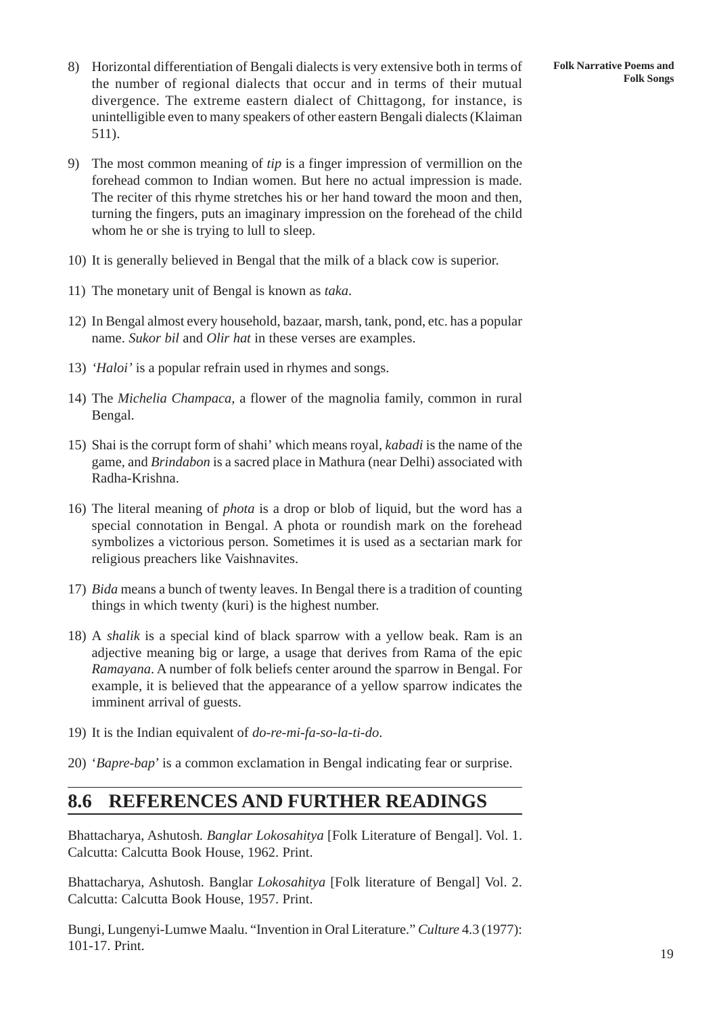- 8) Horizontal differentiation of Bengali dialects is very extensive both in terms of the number of regional dialects that occur and in terms of their mutual divergence. The extreme eastern dialect of Chittagong, for instance, is unintelligible even to many speakers of other eastern Bengali dialects (Klaiman 511).
- 9) The most common meaning of *tip* is a finger impression of vermillion on the forehead common to Indian women. But here no actual impression is made. The reciter of this rhyme stretches his or her hand toward the moon and then, turning the fingers, puts an imaginary impression on the forehead of the child whom he or she is trying to lull to sleep.
- 10) It is generally believed in Bengal that the milk of a black cow is superior.
- 11) The monetary unit of Bengal is known as *taka*.
- 12) In Bengal almost every household, bazaar, marsh, tank, pond, etc. has a popular name. *Sukor bil* and *Olir hat* in these verses are examples.
- 13) *'Haloi'* is a popular refrain used in rhymes and songs.
- 14) The *Michelia Champaca,* a flower of the magnolia family, common in rural Bengal.
- 15) Shai is the corrupt form of shahi' which means royal, *kabadi* is the name of the game, and *Brindabon* is a sacred place in Mathura (near Delhi) associated with Radha-Krishna.
- 16) The literal meaning of *phota* is a drop or blob of liquid, but the word has a special connotation in Bengal. A phota or roundish mark on the forehead symbolizes a victorious person. Sometimes it is used as a sectarian mark for religious preachers like Vaishnavites.
- 17) *Bida* means a bunch of twenty leaves. In Bengal there is a tradition of counting things in which twenty (kuri) is the highest number.
- 18) A *shalik* is a special kind of black sparrow with a yellow beak. Ram is an adjective meaning big or large, a usage that derives from Rama of the epic *Ramayana*. A number of folk beliefs center around the sparrow in Bengal. For example, it is believed that the appearance of a yellow sparrow indicates the imminent arrival of guests.
- 19) It is the Indian equivalent of *do-re-mi-fa-so-la-ti-do*.
- 20) '*Bapre-bap*' is a common exclamation in Bengal indicating fear or surprise.

#### **8.6 REFERENCES AND FURTHER READINGS**

Bhattacharya, Ashutosh*. Banglar Lokosahitya* [Folk Literature of Bengal]. Vol. 1. Calcutta: Calcutta Book House, 1962. Print.

Bhattacharya, Ashutosh. Banglar *Lokosahitya* [Folk literature of Bengal] Vol. 2. Calcutta: Calcutta Book House, 1957. Print.

Bungi, Lungenyi-Lumwe Maalu. "Invention in Oral Literature." *Culture* 4.3 (1977): 101-17. Print.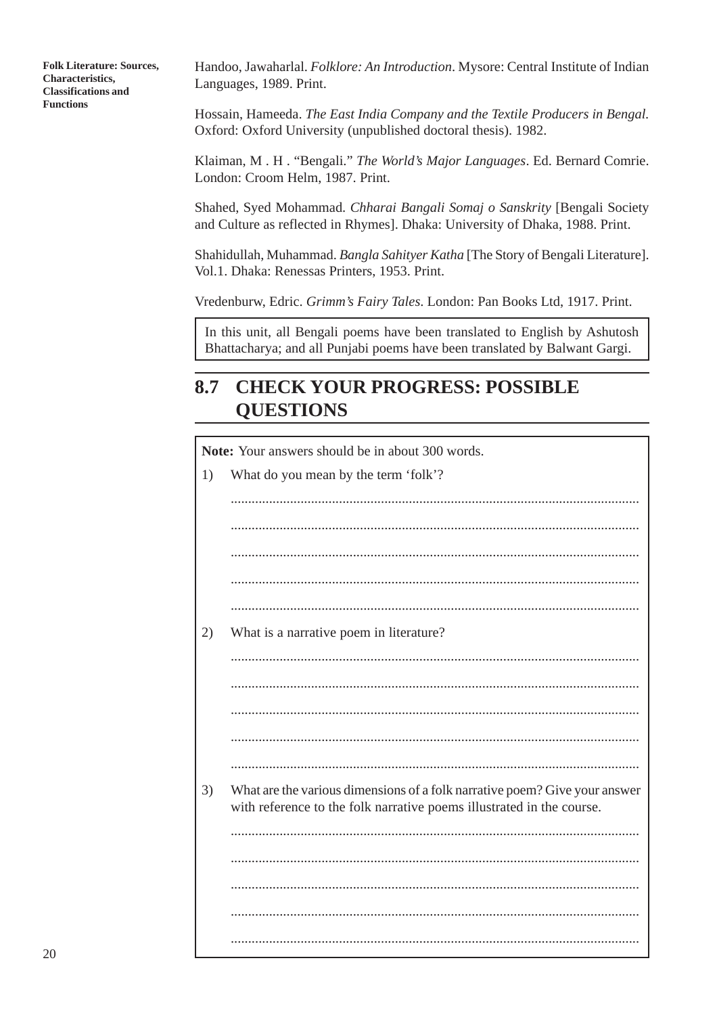Handoo, Jawaharlal. *Folklore: An Introduction*. Mysore: Central Institute of Indian Languages, 1989. Print.

Hossain, Hameeda. *The East India Company and the Textile Producers in Bengal.* Oxford: Oxford University (unpublished doctoral thesis). 1982.

Klaiman, M . H . "Bengali." *The World's Major Languages*. Ed. Bernard Comrie. London: Croom Helm, 1987. Print.

Shahed, Syed Mohammad. *Chharai Bangali Somaj o Sanskrity* [Bengali Society and Culture as reflected in Rhymes]. Dhaka: University of Dhaka, 1988. Print.

Shahidullah, Muhammad. *Bangla Sahityer Katha* [The Story of Bengali Literature]. Vol.1. Dhaka: Renessas Printers, 1953. Print.

Vredenburw, Edric. *Grimm's Fairy Tales*. London: Pan Books Ltd, 1917. Print.

In this unit, all Bengali poems have been translated to English by Ashutosh Bhattacharya; and all Punjabi poems have been translated by Balwant Gargi.

## **8.7 CHECK YOUR PROGRESS: POSSIBLE QUESTIONS**

**Note:** Your answers should be in about 300 words. 1) What do you mean by the term 'folk'? ..................................................................................................................... ..................................................................................................................... ..................................................................................................................... ..................................................................................................................... 2) What is a narrative poem in literature? ..................................................................................................................... ..................................................................................................................... ..................................................................................................................... 3) What are the various dimensions of a folk narrative poem? Give your answer with reference to the folk narrative poems illustrated in the course. ..................................................................................................................... ..................................................................................................................... ..................................................................................................................... ..................................................................................................................... .....................................................................................................................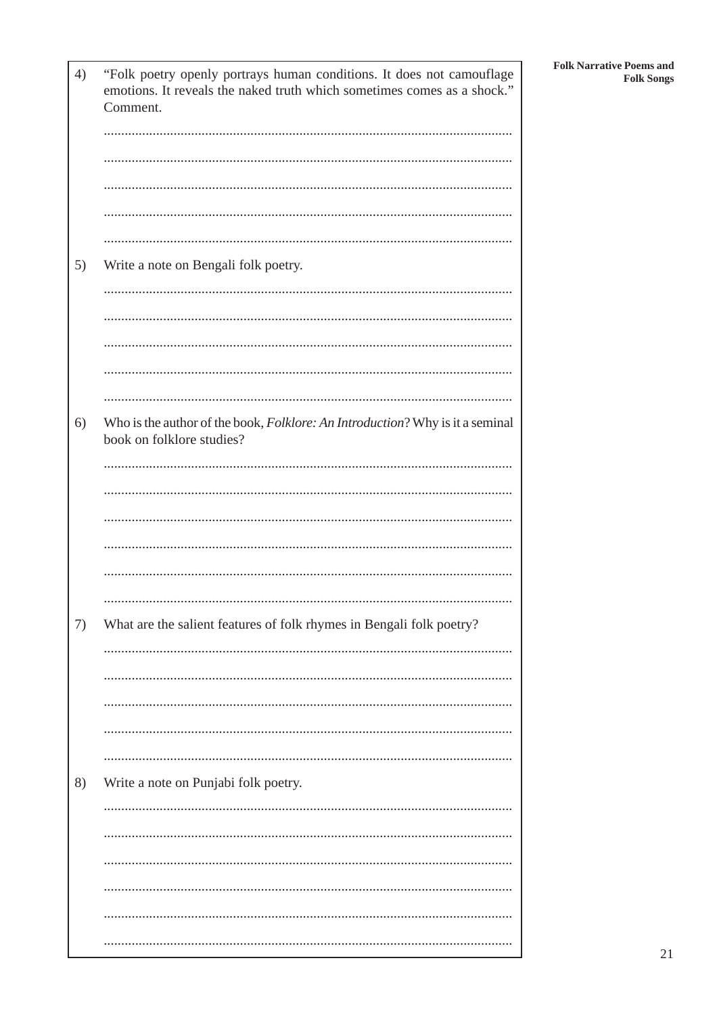| 4) | "Folk poetry openly portrays human conditions. It does not camouflage<br>emotions. It reveals the naked truth which sometimes comes as a shock."<br>Comment. |
|----|--------------------------------------------------------------------------------------------------------------------------------------------------------------|
|    |                                                                                                                                                              |
|    |                                                                                                                                                              |
|    |                                                                                                                                                              |
|    |                                                                                                                                                              |
|    |                                                                                                                                                              |
| 5) | Write a note on Bengali folk poetry.                                                                                                                         |
|    |                                                                                                                                                              |
|    |                                                                                                                                                              |
|    |                                                                                                                                                              |
|    |                                                                                                                                                              |
|    |                                                                                                                                                              |
| 6) | Who is the author of the book, Folklore: An Introduction? Why is it a seminal<br>book on folklore studies?                                                   |
|    |                                                                                                                                                              |
|    |                                                                                                                                                              |
|    |                                                                                                                                                              |
|    |                                                                                                                                                              |
|    |                                                                                                                                                              |
|    |                                                                                                                                                              |
| 7) | What are the salient features of folk rhymes in Bengali folk poetry?                                                                                         |
|    |                                                                                                                                                              |
|    |                                                                                                                                                              |
|    |                                                                                                                                                              |
|    |                                                                                                                                                              |
| 8) | Write a note on Punjabi folk poetry.                                                                                                                         |
|    |                                                                                                                                                              |
|    |                                                                                                                                                              |
|    |                                                                                                                                                              |
|    |                                                                                                                                                              |
|    |                                                                                                                                                              |
|    |                                                                                                                                                              |
|    |                                                                                                                                                              |